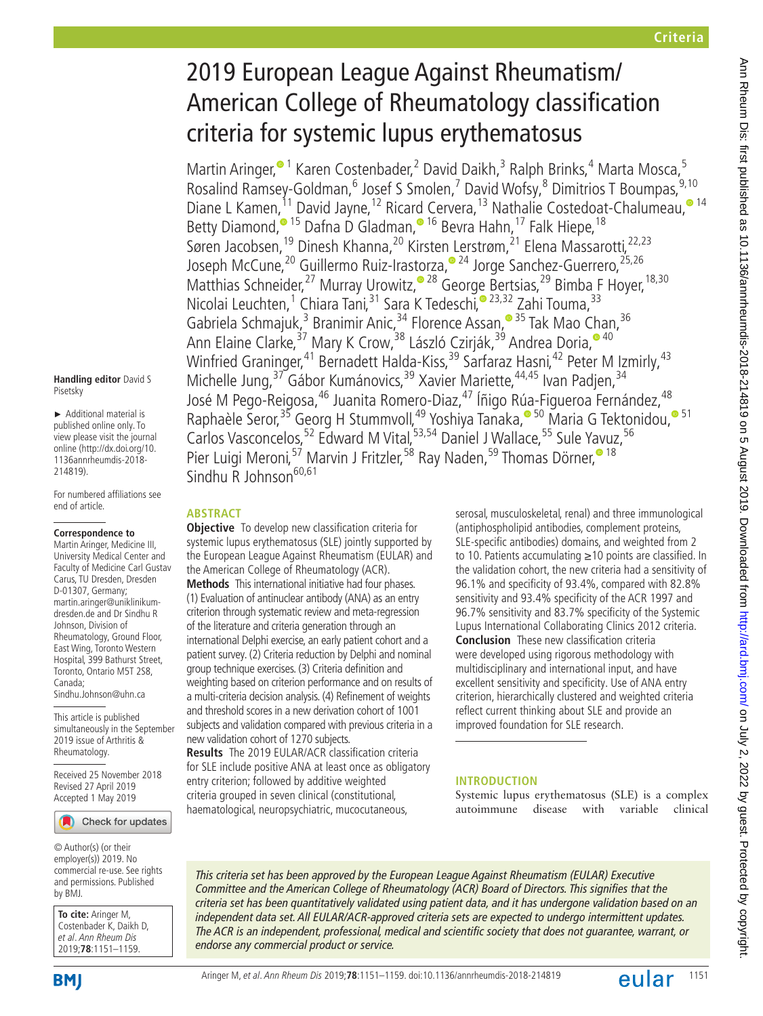# 2019 European League Against Rheumatism/ American College of Rheumatology classification criteria for systemic lupus erythematosus

Martin Aringer,<sup>® 1</sup> Karen Costenbader,<sup>2</sup> David Daikh,<sup>3</sup> Ralph Brinks,<sup>4</sup> Marta Mosca,<sup>5</sup> Rosalind Ramsey-Goldman, <sup>6</sup> Josef S Smolen, <sup>7</sup> David Wofsy, <sup>8</sup> Dimitrios T Boumpas, <sup>9,10</sup> Diane L Kamen,<sup>11</sup> David Jayne,<sup>12</sup> Ricard Cervera,<sup>13</sup> Nathalie Costedoat-Chalumeau,<sup>® 14</sup> Betty Diamond,<sup>•15</sup> Dafna D Gladman,<sup>•16</sup> Bevra Hahn,<sup>17</sup> Falk Hiepe,<sup>18</sup> Søren Jacobsen,<sup>[1](http://orcid.org/0000-0002-3250-3804)9</sup> Dinesh Khanna,<sup>20</sup> Kirsten Lerstrøm,<sup>21</sup> Elena Massarotti,<sup>22,23</sup> Joseph McCune,<sup>20</sup> Guillermo Ruiz-Irastorza,<sup>•• 24</sup> Jorge Sanchez-Guerrero,<sup>25,26</sup> Matthias Schneider,<sup>27</sup> Murray Urowitz,<sup>28</sup> George Bertsias,<sup>29</sup> Bimba F Hoyer,<sup>18,30</sup> Nicolai Leuchten,<sup>1</sup> Chiara Tani,<sup>31</sup> Sara K Tedeschi,<sup>® 23,32</sup> Zahi Touma,<sup>33</sup> Gabriela Schmajuk,<sup>3</sup> Branimir Anic,<sup>34</sup> Florence Assan,<sup>● 35</sup> Tak Mao Chan,<sup>36</sup> Ann Elaine Clarke,<sup>37</sup> Mary K Crow,<sup>38</sup> László Czirják,<sup>3[9](http://orcid.org/0000-0001-6988-6178)</sup> Andrea Doria,<sup>040</sup> Winfried Graninger,<sup>41</sup> Bernadett Halda-Kiss,<sup>39</sup> Sarfaraz Hasni,<sup>42</sup> Peter M Izmirly,<sup>43</sup> Michelle Jung,<sup>37</sup> Gábor Kumánovics,<sup>39</sup> Xavier Mariette,<sup>44,45</sup> Ivan Padjen,<sup>34</sup> José M Pego-Reigosa, <sup>46</sup> Juanita Romero-Diaz, <sup>47</sup> Íñigo Rúa-Figueroa Fernández, <sup>48</sup> Raphaèle Seror[,](http://orcid.org/0000-0003-2238-0975)<sup>35</sup> Georg H Stummvoll,<sup>49</sup> Yoshiya Tanaka,<sup>® 50</sup> Maria G Tektonidou,<sup>® 51</sup> Carlos Vasconcelos,<sup>52</sup> Edward M Vital,<sup>53,54</sup> Daniel J Wallace,<sup>55</sup> Sule Yavuz,<sup>56</sup> Pier Luigi Meroni[,](http://orcid.org/0000-0002-6478-7725)<sup>57</sup> Marvin J Fritzler,<sup>58</sup> Ray Naden,<sup>59</sup> Thomas Dörner,<sup>® 18</sup> Sindhu R Johnson<sup>60,61</sup>

**Handling editor** David S Pisetsky

► Additional material is published online only. To view please visit the journal online ([http://dx.doi.org/10.](http://dx.doi.org/10.1136annrheumdis-2018-214819) [1136annrheumdis-2018-](http://dx.doi.org/10.1136annrheumdis-2018-214819) [214819](http://dx.doi.org/10.1136annrheumdis-2018-214819)).

For numbered affiliations see end of article.

#### **Correspondence to**

Martin Aringer, Medicine III, University Medical Center and Faculty of Medicine Carl Gustav Carus, TU Dresden, Dresden D-01307, Germany; martin.aringer@uniklinikumdresden.de and Dr Sindhu R Johnson, Division of Rheumatology, Ground Floor, East Wing, Toronto Western Hospital, 399 Bathurst Street, Toronto, Ontario M5T 2S8, Canada; Sindhu.Johnson@uhn.ca

This article is published simultaneously in the September 2019 issue of Arthritis & Rheumatology.

Received 25 November 2018 Revised 27 April 2019 Accepted 1 May 2019



© Author(s) (or their employer(s)) 2019. No commercial re-use. See rights and permissions. Published by BMJ.

**To cite:** Aringer M, Costenbader K, Daikh D, et al. Ann Rheum Dis 2019;**78**:1151–1159.

**BMI** 

# **Abstract**

**Objective** To develop new classification criteria for systemic lupus erythematosus (SLE) jointly supported by the European League Against Rheumatism (EULAR) and the American College of Rheumatology (ACR).

**Methods** This international initiative had four phases. (1) Evaluation of antinuclear antibody (ANA) as an entry criterion through systematic review and meta-regression of the literature and criteria generation through an international Delphi exercise, an early patient cohort and a patient survey. (2) Criteria reduction by Delphi and nominal group technique exercises. (3) Criteria definition and weighting based on criterion performance and on results of a multi-criteria decision analysis. (4) Refinement of weights and threshold scores in a new derivation cohort of 1001 subjects and validation compared with previous criteria in a new validation cohort of 1270 subjects.

**Results** The 2019 EULAR/ACR classification criteria for SLE include positive ANA at least once as obligatory entry criterion; followed by additive weighted criteria grouped in seven clinical (constitutional, haematological, neuropsychiatric, mucocutaneous,

serosal, musculoskeletal, renal) and three immunological (antiphospholipid antibodies, complement proteins, SLE-specific antibodies) domains, and weighted from 2 to 10. Patients accumulating ≥10 points are classified. In the validation cohort, the new criteria had a sensitivity of 96.1% and specificity of 93.4%, compared with 82.8% sensitivity and 93.4% specificity of the ACR 1997 and 96.7% sensitivity and 83.7% specificity of the Systemic Lupus International Collaborating Clinics 2012 criteria. **Conclusion** These new classification criteria were developed using rigorous methodology with multidisciplinary and international input, and have excellent sensitivity and specificity. Use of ANA entry criterion, hierarchically clustered and weighted criteria reflect current thinking about SLE and provide an improved foundation for SLE research.

# **Introduction**

Systemic lupus erythematosus (SLE) is a complex autoimmune disease with variable clinical

*This criteria set has been approved by the European League Against Rheumatism (EULAR) Executive Committee and the American College of Rheumatology (ACR) Board of Directors. This signifies that the criteria set has been quantitatively validated using patient data, and it has undergone validation based on an independent data set. All EULAR/ACR-approved criteria sets are expected to undergo intermittent updates. The ACR is an independent, professional, medical and scientific society that does not guarantee, warrant, or endorse any commercial product or service.*

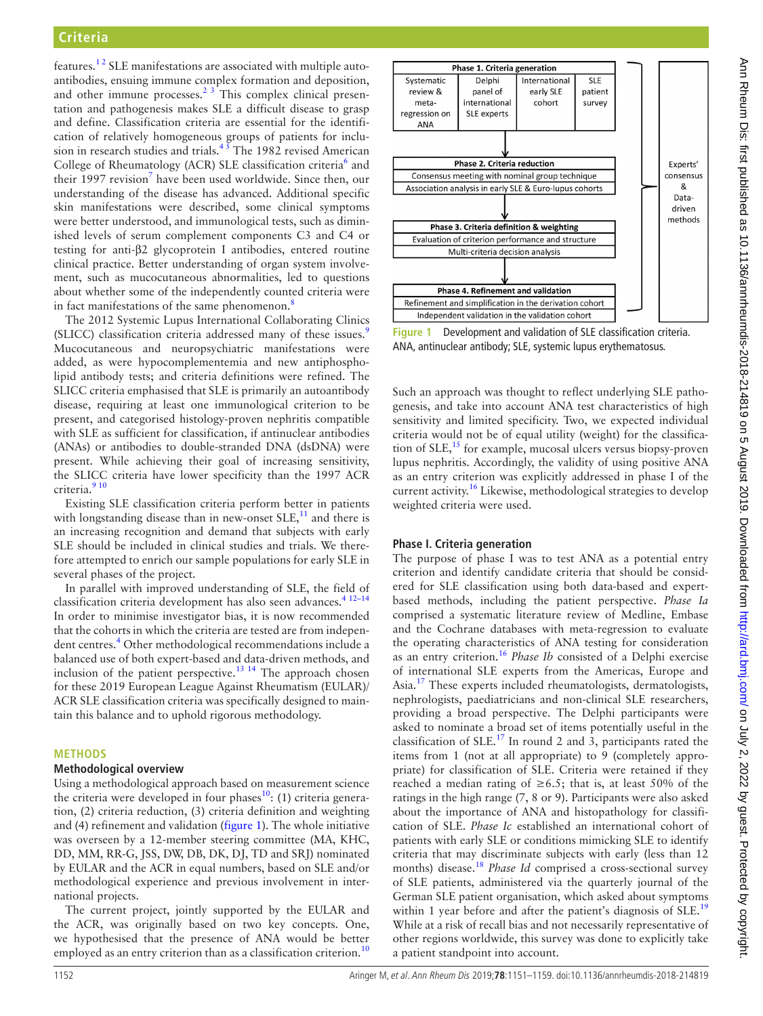features.[1 2](#page-8-0) SLE manifestations are associated with multiple autoantibodies, ensuing immune complex formation and deposition, and other immune processes.<sup>23</sup> This complex clinical presentation and pathogenesis makes SLE a difficult disease to grasp and define. Classification criteria are essential for the identification of relatively homogeneous groups of patients for inclusion in research studies and trials.<sup>45</sup> The 1982 revised American College of Rheumatology (ACR) SLE classification criteria<sup>6</sup> and their 199[7](#page-8-4) revision<sup>7</sup> have been used worldwide. Since then, our understanding of the disease has advanced. Additional specific skin manifestations were described, some clinical symptoms were better understood, and immunological tests, such as diminished levels of serum complement components C3 and C4 or testing for anti-β2 glycoprotein I antibodies, entered routine clinical practice. Better understanding of organ system involvement, such as mucocutaneous abnormalities, led to questions about whether some of the independently counted criteria were in fact manifestations of the same phenomenon.<sup>[8](#page-8-5)</sup>

The 2012 Systemic Lupus International Collaborating Clinics (SLICC) classification criteria addressed many of these issues.<sup>[9](#page-8-6)</sup> Mucocutaneous and neuropsychiatric manifestations were added, as were hypocomplementemia and new antiphospholipid antibody tests; and criteria definitions were refined. The SLICC criteria emphasised that SLE is primarily an autoantibody disease, requiring at least one immunological criterion to be present, and categorised histology-proven nephritis compatible with SLE as sufficient for classification, if antinuclear antibodies (ANAs) or antibodies to double-stranded DNA (dsDNA) were present. While achieving their goal of increasing sensitivity, the SLICC criteria have lower specificity than the 1997 ACR criteria.<sup>[9 10](#page-8-6)</sup>

Existing SLE classification criteria perform better in patients with longstanding disease than in new-onset  $SLE<sub>1</sub><sup>11</sup>$  $SLE<sub>1</sub><sup>11</sup>$  $SLE<sub>1</sub><sup>11</sup>$  and there is an increasing recognition and demand that subjects with early SLE should be included in clinical studies and trials. We therefore attempted to enrich our sample populations for early SLE in several phases of the project.

In parallel with improved understanding of SLE, the field of classification criteria development has also seen advances.<sup>4 12-14</sup> In order to minimise investigator bias, it is now recommended that the cohorts in which the criteria are tested are from indepen-dent centres.<sup>[4](#page-8-2)</sup> Other methodological recommendations include a balanced use of both expert-based and data-driven methods, and inclusion of the patient perspective.<sup>13 14</sup> The approach chosen for these 2019 European League Against Rheumatism (EULAR)/ ACR SLE classification criteria was specifically designed to maintain this balance and to uphold rigorous methodology.

#### **Methods**

#### **Methodological overview**

Using a methodological approach based on measurement science the criteria were developed in four phases $10$ : (1) criteria generation, (2) criteria reduction, (3) criteria definition and weighting and (4) refinement and validation ([figure](#page-1-0) 1). The whole initiative was overseen by a 12-member steering committee (MA, KHC, DD, MM, RR-G, JSS, DW, DB, DK, DJ, TD and SRJ) nominated by EULAR and the ACR in equal numbers, based on SLE and/or methodological experience and previous involvement in international projects.

The current project, jointly supported by the EULAR and the ACR, was originally based on two key concepts. One, we hypothesised that the presence of ANA would be better employed as an entry criterion than as a classification criterion.<sup>[10](#page-8-9)</sup>



<span id="page-1-0"></span>**Figure 1** Development and validation of SLE classification criteria. ANA, antinuclear antibody; SLE, systemic lupus erythematosus.

Such an approach was thought to reflect underlying SLE pathogenesis, and take into account ANA test characteristics of high sensitivity and limited specificity. Two, we expected individual criteria would not be of equal utility (weight) for the classification of  $SLE<sub>15</sub>$  for example, mucosal ulcers versus biopsy-proven lupus nephritis. Accordingly, the validity of using positive ANA as an entry criterion was explicitly addressed in phase I of the current activity.<sup>16</sup> Likewise, methodological strategies to develop weighted criteria were used.

#### **Phase I. Criteria generation**

The purpose of phase I was to test ANA as a potential entry criterion and identify candidate criteria that should be considered for SLE classification using both data-based and expertbased methods, including the patient perspective. *Phase Ia* comprised a systematic literature review of Medline, Embase and the Cochrane databases with meta-regression to evaluate the operating characteristics of ANA testing for consideration as an entry criterion.[16](#page-8-11) *Phase Ib* consisted of a Delphi exercise of international SLE experts from the Americas, Europe and Asia[.17](#page-8-12) These experts included rheumatologists, dermatologists, nephrologists, paediatricians and non-clinical SLE researchers, providing a broad perspective. The Delphi participants were asked to nominate a broad set of items potentially useful in the classification of SLE.[17](#page-8-12) In round 2 and 3, participants rated the items from 1 (not at all appropriate) to 9 (completely appropriate) for classification of SLE. Criteria were retained if they reached a median rating of  $\geq 6.5$ ; that is, at least 50% of the ratings in the high range (7, 8 or 9). Participants were also asked about the importance of ANA and histopathology for classification of SLE. *Phase Ic* established an international cohort of patients with early SLE or conditions mimicking SLE to identify criteria that may discriminate subjects with early (less than 12 months) disease[.18](#page-8-13) *Phase Id* comprised a cross-sectional survey of SLE patients, administered via the quarterly journal of the German SLE patient organisation, which asked about symptoms within 1 year before and after the patient's diagnosis of  $SLE<sup>19</sup>$  $SLE<sup>19</sup>$  $SLE<sup>19</sup>$ While at a risk of recall bias and not necessarily representative of other regions worldwide, this survey was done to explicitly take a patient standpoint into account.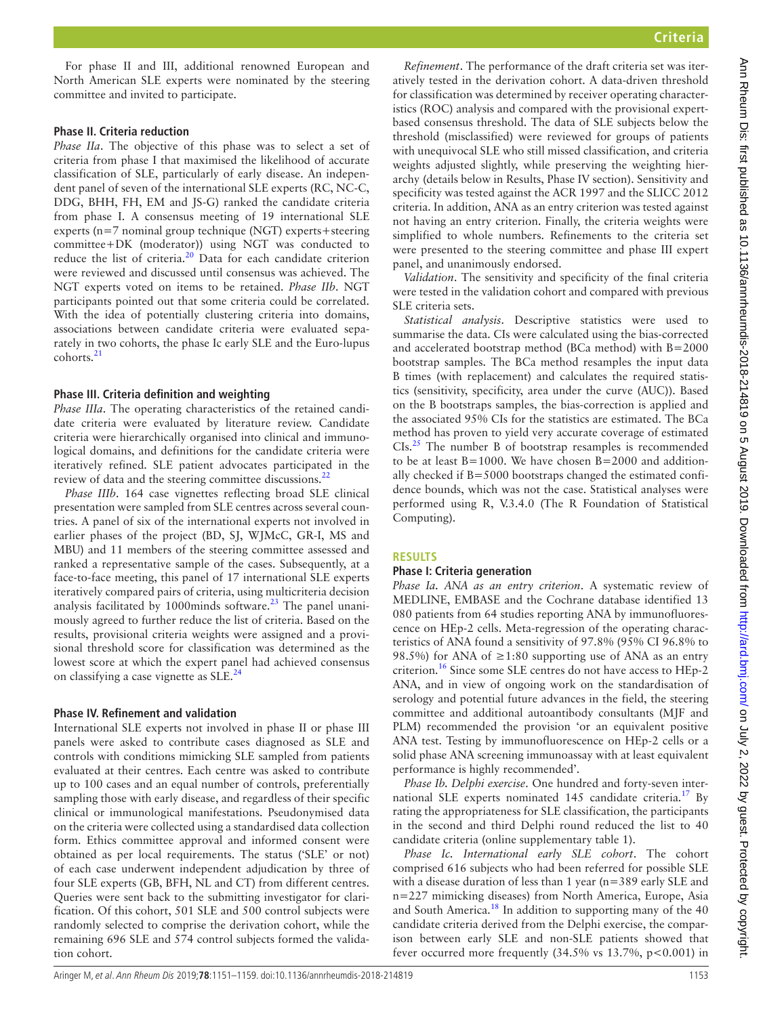For phase II and III, additional renowned European and North American SLE experts were nominated by the steering committee and invited to participate.

#### **Phase II. Criteria reduction**

*Phase IIa*. The objective of this phase was to select a set of criteria from phase I that maximised the likelihood of accurate classification of SLE, particularly of early disease. An independent panel of seven of the international SLE experts (RC, NC-C, DDG, BHH, FH, EM and JS-G) ranked the candidate criteria from phase I. A consensus meeting of 19 international SLE experts (n=7 nominal group technique (NGT) experts+steering committee+DK (moderator)) using NGT was conducted to reduce the list of criteria.<sup>[20](#page-8-15)</sup> Data for each candidate criterion were reviewed and discussed until consensus was achieved. The NGT experts voted on items to be retained. *Phase IIb*. NGT participants pointed out that some criteria could be correlated. With the idea of potentially clustering criteria into domains, associations between candidate criteria were evaluated separately in two cohorts, the phase Ic early SLE and the Euro-lupus cohorts<sup>21</sup>

#### **Phase III. Criteria definition and weighting**

*Phase IIIa*. The operating characteristics of the retained candidate criteria were evaluated by literature review. Candidate criteria were hierarchically organised into clinical and immunological domains, and definitions for the candidate criteria were iteratively refined. SLE patient advocates participated in the review of data and the steering committee discussions.<sup>22</sup>

*Phase IIIb*. 164 case vignettes reflecting broad SLE clinical presentation were sampled from SLE centres across several countries. A panel of six of the international experts not involved in earlier phases of the project (BD, SJ, WJMcC, GR-I, MS and MBU) and 11 members of the steering committee assessed and ranked a representative sample of the cases. Subsequently, at a face-to-face meeting, this panel of 17 international SLE experts iteratively compared pairs of criteria, using multicriteria decision analysis facilitated by 1000 $\mu$  mmds software.<sup>23</sup> The panel unanimously agreed to further reduce the list of criteria. Based on the results, provisional criteria weights were assigned and a provisional threshold score for classification was determined as the lowest score at which the expert panel had achieved consensus on classifying a case vignette as SLE[.24](#page-8-19)

#### **Phase IV. Refinement and validation**

International SLE experts not involved in phase II or phase III panels were asked to contribute cases diagnosed as SLE and controls with conditions mimicking SLE sampled from patients evaluated at their centres. Each centre was asked to contribute up to 100 cases and an equal number of controls, preferentially sampling those with early disease, and regardless of their specific clinical or immunological manifestations. Pseudonymised data on the criteria were collected using a standardised data collection form. Ethics committee approval and informed consent were obtained as per local requirements. The status ('SLE' or not) of each case underwent independent adjudication by three of four SLE experts (GB, BFH, NL and CT) from different centres. Queries were sent back to the submitting investigator for clarification. Of this cohort, 501 SLE and 500 control subjects were randomly selected to comprise the derivation cohort, while the remaining 696 SLE and 574 control subjects formed the validation cohort.

*Refinement*. The performance of the draft criteria set was iteratively tested in the derivation cohort. A data-driven threshold for classification was determined by receiver operating characteristics (ROC) analysis and compared with the provisional expertbased consensus threshold. The data of SLE subjects below the threshold (misclassified) were reviewed for groups of patients with unequivocal SLE who still missed classification, and criteria weights adjusted slightly, while preserving the weighting hierarchy (details below in Results, Phase IV section). Sensitivity and specificity was tested against the ACR 1997 and the SLICC 2012 criteria. In addition, ANA as an entry criterion was tested against not having an entry criterion. Finally, the criteria weights were simplified to whole numbers. Refinements to the criteria set were presented to the steering committee and phase III expert panel, and unanimously endorsed.

*Validation*. The sensitivity and specificity of the final criteria were tested in the validation cohort and compared with previous SLE criteria sets.

*Statistical analysis*. Descriptive statistics were used to summarise the data. CIs were calculated using the bias-corrected and accelerated bootstrap method (BCa method) with B=2000 bootstrap samples. The BCa method resamples the input data B times (with replacement) and calculates the required statistics (sensitivity, specificity, area under the curve (AUC)). Based on the B bootstraps samples, the bias-correction is applied and the associated 95% CIs for the statistics are estimated. The BCa method has proven to yield very accurate coverage of estimated  $CIs.<sup>25</sup>$  The number B of bootstrap resamples is recommended to be at least B=1000. We have chosen B=2000 and additionally checked if B=5000 bootstraps changed the estimated confidence bounds, which was not the case. Statistical analyses were performed using R, V.3.4.0 (The R Foundation of Statistical Computing).

# **Results**

# **Phase I: Criteria generation**

*Phase Ia. ANA as an entry criterion*. A systematic review of MEDLINE, EMBASE and the Cochrane database identified 13 080 patients from 64 studies reporting ANA by immunofluorescence on HEp-2 cells. Meta-regression of the operating characteristics of ANA found a sensitivity of 97.8% (95% CI 96.8% to 98.5%) for ANA of  $\geq 1:80$  supporting use of ANA as an entry criterion.<sup>16</sup> Since some SLE centres do not have access to HEp-2 ANA, and in view of ongoing work on the standardisation of serology and potential future advances in the field, the steering committee and additional autoantibody consultants (MJF and PLM) recommended the provision 'or an equivalent positive ANA test. Testing by immunofluorescence on HEp-2 cells or a solid phase ANA screening immunoassay with at least equivalent performance is highly recommended'.

*Phase Ib. Delphi exercise*. One hundred and forty-seven international SLE experts nominated 145 candidate criteria.<sup>17</sup> By rating the appropriateness for SLE classification, the participants in the second and third Delphi round reduced the list to 40 candidate criteria [\(online supplementary table 1\)](https://dx.doi.org/10.1136/annrheumdis-2018-214819).

*Phase Ic. International early SLE cohort*. The cohort comprised 616 subjects who had been referred for possible SLE with a disease duration of less than 1 year (n=389 early SLE and n=227 mimicking diseases) from North America, Europe, Asia and South America.<sup>18</sup> In addition to supporting many of the  $40$ candidate criteria derived from the Delphi exercise, the comparison between early SLE and non-SLE patients showed that fever occurred more frequently  $(34.5\% \text{ vs } 13.7\%, \text{ p} < 0.001)$  in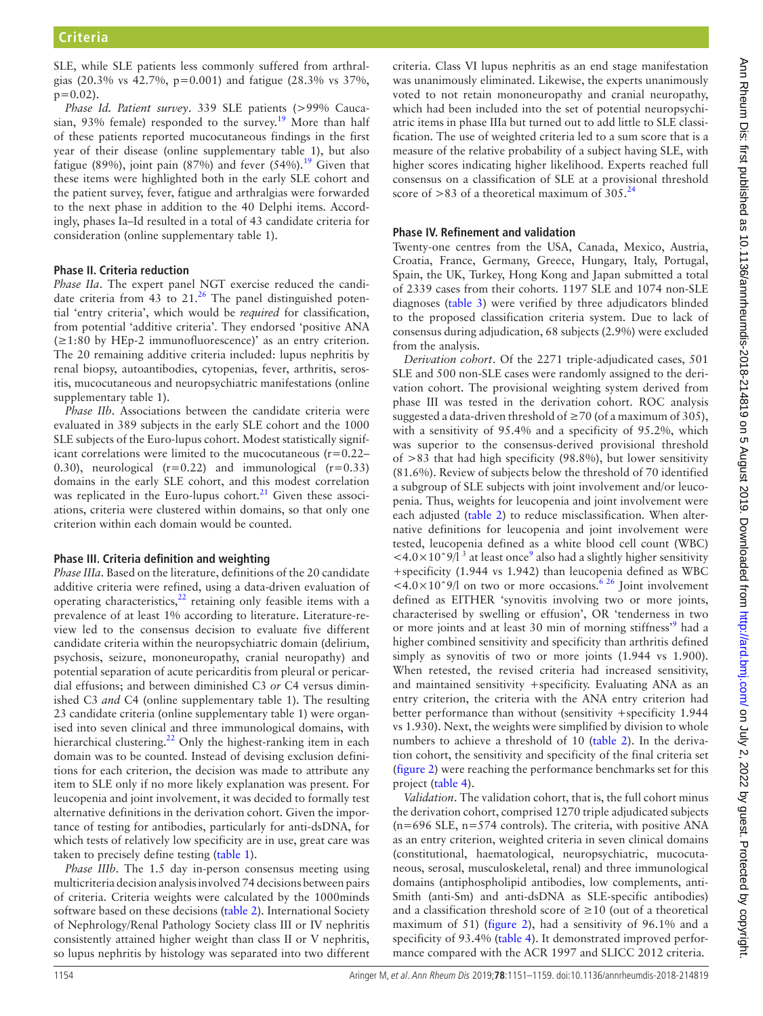SLE, while SLE patients less commonly suffered from arthralgias (20.3% vs 42.7%, p=0.001) and fatigue (28.3% vs 37%,  $p=0.02$ ).

*Phase Id. Patient survey*. 339 SLE patients (>99% Cauca-sian, 93% female) responded to the survey.<sup>[19](#page-8-14)</sup> More than half of these patients reported mucocutaneous findings in the first year of their disease ([online supplementary table 1](https://dx.doi.org/10.1136/annrheumdis-2018-214819)), but also fatigue (89%), joint pain (87%) and fever  $(54\%)$ .<sup>19</sup> Given that these items were highlighted both in the early SLE cohort and the patient survey, fever, fatigue and arthralgias were forwarded to the next phase in addition to the 40 Delphi items. Accordingly, phases Ia–Id resulted in a total of 43 candidate criteria for consideration ([online supplementary table 1\)](https://dx.doi.org/10.1136/annrheumdis-2018-214819).

## **Phase II. Criteria reduction**

*Phase IIa*. The expert panel NGT exercise reduced the candi-date criteria from 43 to 21.<sup>[26](#page-8-21)</sup> The panel distinguished potential 'entry criteria', which would be *required* for classification, from potential 'additive criteria'. They endorsed 'positive ANA  $(\geq 1:80$  by HEp-2 immunofluorescence)' as an entry criterion. The 20 remaining additive criteria included: lupus nephritis by renal biopsy, autoantibodies, cytopenias, fever, arthritis, serositis, mucocutaneous and neuropsychiatric manifestations [\(online](https://dx.doi.org/10.1136/annrheumdis-2018-214819)  [supplementary table 1](https://dx.doi.org/10.1136/annrheumdis-2018-214819)).

*Phase IIb*. Associations between the candidate criteria were evaluated in 389 subjects in the early SLE cohort and the 1000 SLE subjects of the Euro-lupus cohort. Modest statistically significant correlations were limited to the mucocutaneous (r=0.22– 0.30), neurological  $(r=0.22)$  and immunological  $(r=0.33)$ domains in the early SLE cohort, and this modest correlation was replicated in the Euro-lupus cohort. $21$  Given these associations, criteria were clustered within domains, so that only one criterion within each domain would be counted.

# **Phase III. Criteria definition and weighting**

*Phase IIIa*. Based on the literature, definitions of the 20 candidate additive criteria were refined, using a data-driven evaluation of operating characteristics, $2^2$  retaining only feasible items with a prevalence of at least 1% according to literature. Literature-review led to the consensus decision to evaluate five different candidate criteria within the neuropsychiatric domain (delirium, psychosis, seizure, mononeuropathy, cranial neuropathy) and potential separation of acute pericarditis from pleural or pericardial effusions; and between diminished C3 *or* C4 versus diminished C3 *and* C4 ([online supplementary table 1](https://dx.doi.org/10.1136/annrheumdis-2018-214819)). The resulting 23 candidate criteria [\(online supplementary table 1](https://dx.doi.org/10.1136/annrheumdis-2018-214819)) were organised into seven clinical and three immunological domains, with hierarchical clustering.<sup>22</sup> Only the highest-ranking item in each domain was to be counted. Instead of devising exclusion definitions for each criterion, the decision was made to attribute any item to SLE only if no more likely explanation was present. For leucopenia and joint involvement, it was decided to formally test alternative definitions in the derivation cohort. Given the importance of testing for antibodies, particularly for anti-dsDNA, for which tests of relatively low specificity are in use, great care was taken to precisely define testing [\(table](#page-4-0) 1).

*Phase IIIb*. The 1.5 day in-person consensus meeting using multicriteria decision analysis involved 74 decisions between pairs of criteria. Criteria weights were calculated by the 1000minds software based on these decisions [\(table](#page-5-0) 2). International Society of Nephrology/Renal Pathology Society class III or IV nephritis consistently attained higher weight than class II or V nephritis, so lupus nephritis by histology was separated into two different

criteria. Class VI lupus nephritis as an end stage manifestation was unanimously eliminated. Likewise, the experts unanimously voted to not retain mononeuropathy and cranial neuropathy, which had been included into the set of potential neuropsychiatric items in phase IIIa but turned out to add little to SLE classification. The use of weighted criteria led to a sum score that is a measure of the relative probability of a subject having SLE, with higher scores indicating higher likelihood. Experts reached full consensus on a classification of SLE at a provisional threshold score of  $>83$  of a theoretical maximum of  $305.<sup>24</sup>$  $305.<sup>24</sup>$  $305.<sup>24</sup>$ 

## **Phase IV. Refinement and validation**

Twenty-one centres from the USA, Canada, Mexico, Austria, Croatia, France, Germany, Greece, Hungary, Italy, Portugal, Spain, the UK, Turkey, Hong Kong and Japan submitted a total of 2339 cases from their cohorts. 1197 SLE and 1074 non-SLE diagnoses [\(table](#page-5-1) 3) were verified by three adjudicators blinded to the proposed classification criteria system. Due to lack of consensus during adjudication, 68 subjects (2.9%) were excluded from the analysis.

*Derivation cohort*. Of the 2271 triple-adjudicated cases, 501 SLE and 500 non-SLE cases were randomly assigned to the derivation cohort. The provisional weighting system derived from phase III was tested in the derivation cohort. ROC analysis suggested a data-driven threshold of  $\geq$  70 (of a maximum of 305), with a sensitivity of 95.4% and a specificity of 95.2%, which was superior to the consensus-derived provisional threshold of >83 that had high specificity (98.8%), but lower sensitivity (81.6%). Review of subjects below the threshold of 70 identified a subgroup of SLE subjects with joint involvement and/or leucopenia. Thus, weights for leucopenia and joint involvement were each adjusted [\(table](#page-5-0) 2) to reduce misclassification. When alternative definitions for leucopenia and joint involvement were tested, leucopenia defined as a white blood cell count (WBC)  $\langle 4.0 \times 10^8 \rangle$  at least once<sup>[9](#page-8-6)</sup> also had a slightly higher sensitivity +specificity (1.944 vs 1.942) than leucopenia defined as WBC  $\langle 4.0 \times 10^9 \rangle$  on two or more occasions.<sup>6 26</sup> Joint involvement defined as EITHER 'synovitis involving two or more joints, characterised by swelling or effusion', OR 'tenderness in two or more joints and at least 30 min of morning stiffness<sup>5[9](#page-8-6)</sup> had a higher combined sensitivity and specificity than arthritis defined simply as synovitis of two or more joints (1.944 vs 1.900). When retested, the revised criteria had increased sensitivity, and maintained sensitivity +specificity. Evaluating ANA as an entry criterion, the criteria with the ANA entry criterion had better performance than without (sensitivity +specificity 1.944 vs 1.930). Next, the weights were simplified by division to whole numbers to achieve a threshold of 10 ([table](#page-5-0) 2). In the derivation cohort, the sensitivity and specificity of the final criteria set ([figure](#page-6-0) 2) were reaching the performance benchmarks set for this project [\(table](#page-6-1) 4).

*Validation*. The validation cohort, that is, the full cohort minus the derivation cohort, comprised 1270 triple adjudicated subjects  $(n=696$  SLE,  $n=574$  controls). The criteria, with positive ANA as an entry criterion, weighted criteria in seven clinical domains (constitutional, haematological, neuropsychiatric, mucocutaneous, serosal, musculoskeletal, renal) and three immunological domains (antiphospholipid antibodies, low complements, anti-Smith (anti-Sm) and anti-dsDNA as SLE-specific antibodies) and a classification threshold score of  $\geq$ 10 (out of a theoretical maximum of 51) [\(figure](#page-6-0) 2), had a sensitivity of 96.1% and a specificity of 93.4% ([table](#page-6-1) 4). It demonstrated improved performance compared with the ACR 1997 and SLICC 2012 criteria.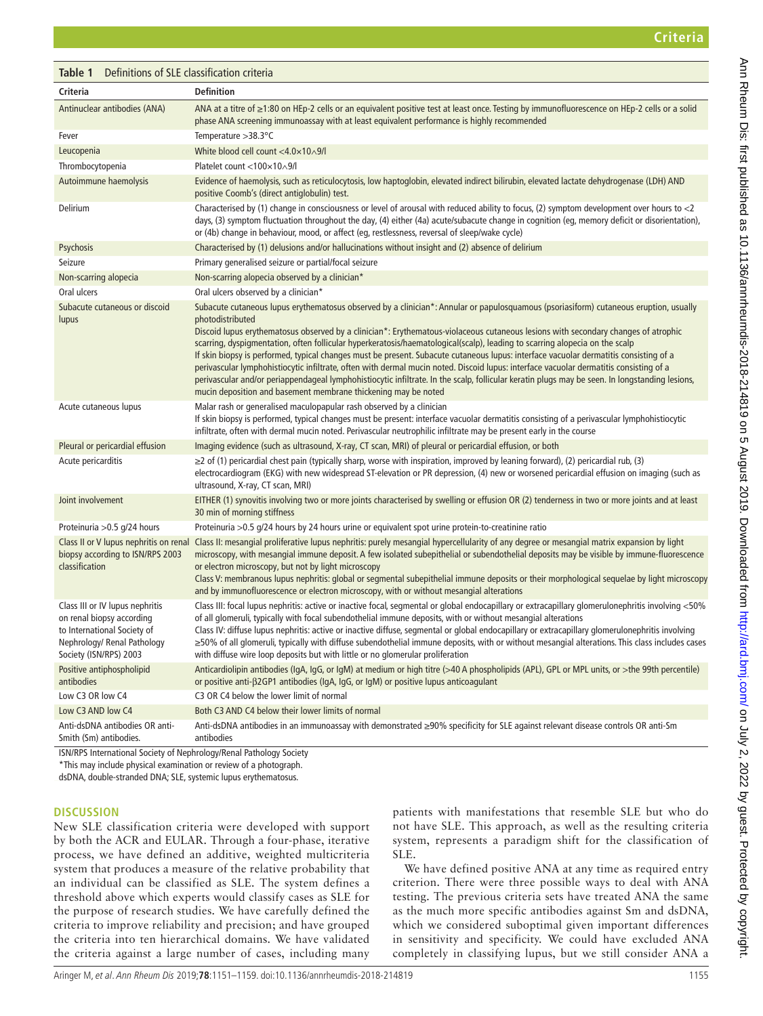<span id="page-4-0"></span>

| Definitions of SLE classification criteria<br>Table 1                                                                                                |                                                                                                                                                                                                                                                                                                                                                                                                                                                                                                                                                                                                                                                                                                                                                                                                                                                                                                                                       |
|------------------------------------------------------------------------------------------------------------------------------------------------------|---------------------------------------------------------------------------------------------------------------------------------------------------------------------------------------------------------------------------------------------------------------------------------------------------------------------------------------------------------------------------------------------------------------------------------------------------------------------------------------------------------------------------------------------------------------------------------------------------------------------------------------------------------------------------------------------------------------------------------------------------------------------------------------------------------------------------------------------------------------------------------------------------------------------------------------|
| Criteria                                                                                                                                             | <b>Definition</b>                                                                                                                                                                                                                                                                                                                                                                                                                                                                                                                                                                                                                                                                                                                                                                                                                                                                                                                     |
| Antinuclear antibodies (ANA)                                                                                                                         | ANA at a titre of ≥1:80 on HEp-2 cells or an equivalent positive test at least once. Testing by immunofluorescence on HEp-2 cells or a solid<br>phase ANA screening immunoassay with at least equivalent performance is highly recommended                                                                                                                                                                                                                                                                                                                                                                                                                                                                                                                                                                                                                                                                                            |
| Fever                                                                                                                                                | Temperature > 38.3°C                                                                                                                                                                                                                                                                                                                                                                                                                                                                                                                                                                                                                                                                                                                                                                                                                                                                                                                  |
| Leucopenia                                                                                                                                           | White blood cell count $<4.0\times100$ 9/l                                                                                                                                                                                                                                                                                                                                                                                                                                                                                                                                                                                                                                                                                                                                                                                                                                                                                            |
| Thrombocytopenia                                                                                                                                     | Platelet count <100×10∧9/l                                                                                                                                                                                                                                                                                                                                                                                                                                                                                                                                                                                                                                                                                                                                                                                                                                                                                                            |
| Autoimmune haemolysis                                                                                                                                | Evidence of haemolysis, such as reticulocytosis, low haptoglobin, elevated indirect bilirubin, elevated lactate dehydrogenase (LDH) AND<br>positive Coomb's (direct antiglobulin) test.                                                                                                                                                                                                                                                                                                                                                                                                                                                                                                                                                                                                                                                                                                                                               |
| Delirium                                                                                                                                             | Characterised by (1) change in consciousness or level of arousal with reduced ability to focus, (2) symptom development over hours to <2<br>days, (3) symptom fluctuation throughout the day, (4) either (4a) acute/subacute change in cognition (eg, memory deficit or disorientation),<br>or (4b) change in behaviour, mood, or affect (eg, restlessness, reversal of sleep/wake cycle)                                                                                                                                                                                                                                                                                                                                                                                                                                                                                                                                             |
| Psychosis                                                                                                                                            | Characterised by (1) delusions and/or hallucinations without insight and (2) absence of delirium                                                                                                                                                                                                                                                                                                                                                                                                                                                                                                                                                                                                                                                                                                                                                                                                                                      |
| Seizure                                                                                                                                              | Primary generalised seizure or partial/focal seizure                                                                                                                                                                                                                                                                                                                                                                                                                                                                                                                                                                                                                                                                                                                                                                                                                                                                                  |
| Non-scarring alopecia                                                                                                                                | Non-scarring alopecia observed by a clinician*                                                                                                                                                                                                                                                                                                                                                                                                                                                                                                                                                                                                                                                                                                                                                                                                                                                                                        |
| Oral ulcers                                                                                                                                          | Oral ulcers observed by a clinician*                                                                                                                                                                                                                                                                                                                                                                                                                                                                                                                                                                                                                                                                                                                                                                                                                                                                                                  |
| Subacute cutaneous or discoid<br>lupus                                                                                                               | Subacute cutaneous lupus erythematosus observed by a clinician*: Annular or papulosquamous (psoriasiform) cutaneous eruption, usually<br>photodistributed<br>Discoid lupus erythematosus observed by a clinician*: Erythematous-violaceous cutaneous lesions with secondary changes of atrophic<br>scarring, dyspigmentation, often follicular hyperkeratosis/haematological(scalp), leading to scarring alopecia on the scalp<br>If skin biopsy is performed, typical changes must be present. Subacute cutaneous lupus: interface vacuolar dermatitis consisting of a<br>perivascular lymphohistiocytic infiltrate, often with dermal mucin noted. Discoid lupus: interface vacuolar dermatitis consisting of a<br>perivascular and/or periappendageal lymphohistiocytic infiltrate. In the scalp, follicular keratin plugs may be seen. In longstanding lesions,<br>mucin deposition and basement membrane thickening may be noted |
| Acute cutaneous lupus                                                                                                                                | Malar rash or generalised maculopapular rash observed by a clinician<br>If skin biopsy is performed, typical changes must be present: interface vacuolar dermatitis consisting of a perivascular lymphohistiocytic<br>infiltrate, often with dermal mucin noted. Perivascular neutrophilic infiltrate may be present early in the course                                                                                                                                                                                                                                                                                                                                                                                                                                                                                                                                                                                              |
| Pleural or pericardial effusion                                                                                                                      | Imaging evidence (such as ultrasound, X-ray, CT scan, MRI) of pleural or pericardial effusion, or both                                                                                                                                                                                                                                                                                                                                                                                                                                                                                                                                                                                                                                                                                                                                                                                                                                |
| Acute pericarditis                                                                                                                                   | $\geq$ 2 of (1) pericardial chest pain (typically sharp, worse with inspiration, improved by leaning forward), (2) pericardial rub, (3)<br>electrocardiogram (EKG) with new widespread ST-elevation or PR depression, (4) new or worsened pericardial effusion on imaging (such as<br>ultrasound, X-ray, CT scan, MRI)                                                                                                                                                                                                                                                                                                                                                                                                                                                                                                                                                                                                                |
| Joint involvement                                                                                                                                    | EITHER (1) synovitis involving two or more joints characterised by swelling or effusion OR (2) tenderness in two or more joints and at least<br>30 min of morning stiffness                                                                                                                                                                                                                                                                                                                                                                                                                                                                                                                                                                                                                                                                                                                                                           |
| Proteinuria > 0.5 g/24 hours                                                                                                                         | Proteinuria > 0.5 g/24 hours by 24 hours urine or equivalent spot urine protein-to-creatinine ratio                                                                                                                                                                                                                                                                                                                                                                                                                                                                                                                                                                                                                                                                                                                                                                                                                                   |
| Class II or V lupus nephritis on renal<br>biopsy according to ISN/RPS 2003<br>classification                                                         | Class II: mesangial proliferative lupus nephritis: purely mesangial hypercellularity of any degree or mesangial matrix expansion by light<br>microscopy, with mesangial immune deposit. A few isolated subepithelial or subendothelial deposits may be visible by immune-fluorescence<br>or electron microscopy, but not by light microscopy<br>Class V: membranous lupus nephritis: global or segmental subepithelial immune deposits or their morphological sequelae by light microscopy<br>and by immunofluorescence or electron microscopy, with or without mesangial alterations                                                                                                                                                                                                                                                                                                                                                 |
| Class III or IV lupus nephritis<br>on renal biopsy according<br>to International Society of<br>Nephrology/ Renal Pathology<br>Society (ISN/RPS) 2003 | Class III: focal lupus nephritis: active or inactive focal, segmental or global endocapillary or extracapillary glomerulonephritis involving <50%<br>of all glomeruli, typically with focal subendothelial immune deposits, with or without mesangial alterations<br>Class IV: diffuse lupus nephritis: active or inactive diffuse, segmental or global endocapillary or extracapillary glomerulonephritis involving<br>≥50% of all glomeruli, typically with diffuse subendothelial immune deposits, with or without mesangial alterations. This class includes cases<br>with diffuse wire loop deposits but with little or no glomerular proliferation                                                                                                                                                                                                                                                                              |
| Positive antiphospholipid<br>antibodies                                                                                                              | Anticardiolipin antibodies (IgA, IgG, or IgM) at medium or high titre (>40 A phospholipids (APL), GPL or MPL units, or >the 99th percentile)<br>or positive anti-B2GP1 antibodies (IgA, IgG, or IgM) or positive lupus anticoagulant                                                                                                                                                                                                                                                                                                                                                                                                                                                                                                                                                                                                                                                                                                  |
| Low C3 OR low C4                                                                                                                                     | C3 OR C4 below the lower limit of normal                                                                                                                                                                                                                                                                                                                                                                                                                                                                                                                                                                                                                                                                                                                                                                                                                                                                                              |
| Low C3 AND low C4                                                                                                                                    | Both C3 AND C4 below their lower limits of normal                                                                                                                                                                                                                                                                                                                                                                                                                                                                                                                                                                                                                                                                                                                                                                                                                                                                                     |
| Anti-dsDNA antibodies OR anti-<br>Smith (Sm) antibodies.<br>ICMIDDCL1                                                                                | Anti-dsDNA antibodies in an immunoassay with demonstrated ≥90% specificity for SLE against relevant disease controls OR anti-Sm<br>antibodies<br>والمتعارفة<br>$\sqrt{D}$                                                                                                                                                                                                                                                                                                                                                                                                                                                                                                                                                                                                                                                                                                                                                             |

ISN/RPS International Society of Nephrology/Renal Pathology Society

\*This may include physical examination or review of a photograph.

dsDNA, double-stranded DNA; SLE, systemic lupus erythematosus.

#### **Discussion**

New SLE classification criteria were developed with support by both the ACR and EULAR. Through a four-phase, iterative process, we have defined an additive, weighted multicriteria system that produces a measure of the relative probability that an individual can be classified as SLE. The system defines a threshold above which experts would classify cases as SLE for the purpose of research studies. We have carefully defined the criteria to improve reliability and precision; and have grouped the criteria into ten hierarchical domains. We have validated the criteria against a large number of cases, including many

patients with manifestations that resemble SLE but who do not have SLE. This approach, as well as the resulting criteria system, represents a paradigm shift for the classification of SLE.

We have defined positive ANA at any time as required entry criterion. There were three possible ways to deal with ANA testing. The previous criteria sets have treated ANA the same as the much more specific antibodies against Sm and dsDNA, which we considered suboptimal given important differences in sensitivity and specificity. We could have excluded ANA completely in classifying lupus, but we still consider ANA a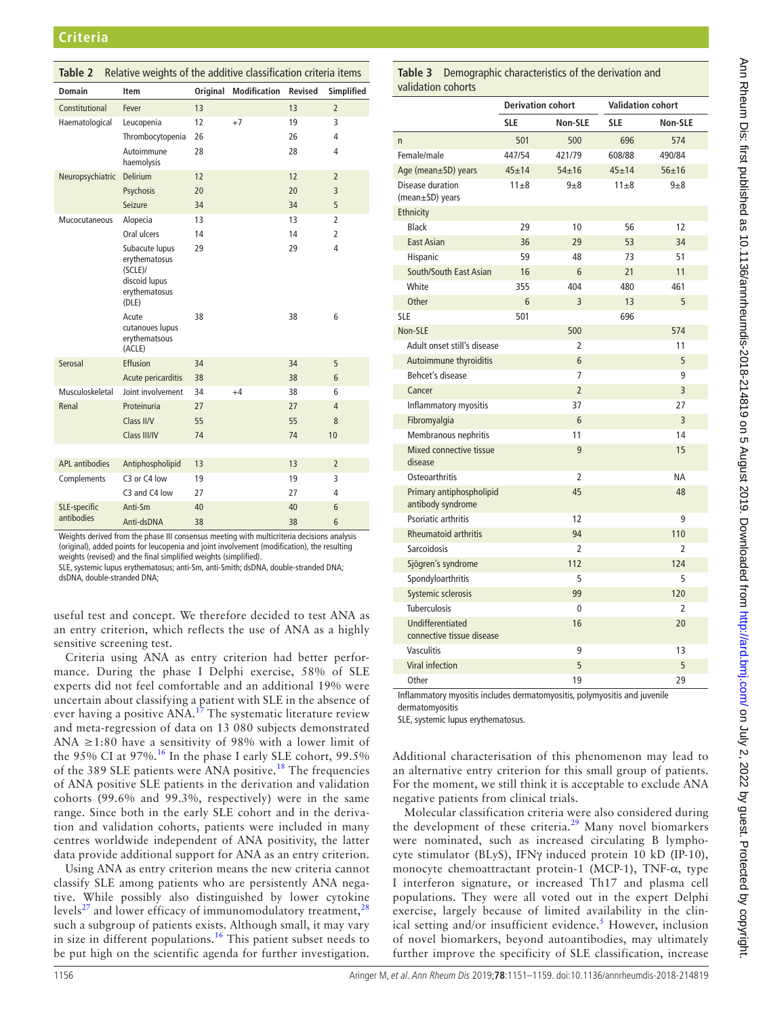<span id="page-5-0"></span>

| Table 2<br>Relative weights of the additive classification criteria items |                                                                                      |          |                     |                |                |
|---------------------------------------------------------------------------|--------------------------------------------------------------------------------------|----------|---------------------|----------------|----------------|
| Domain                                                                    | Item                                                                                 | Original | <b>Modification</b> | <b>Revised</b> | Simplified     |
| Constitutional                                                            | Fever                                                                                | 13       |                     | 13             | $\overline{2}$ |
| Haematological                                                            | Leucopenia                                                                           | 12       | $+7$                | 19             | 3              |
|                                                                           | Thrombocytopenia                                                                     | 26       |                     | 26             | 4              |
|                                                                           | Autoimmune<br>haemolysis                                                             | 28       |                     | 28             | 4              |
| Neuropsychiatric                                                          | <b>Delirium</b>                                                                      | 12       |                     | 12             | $\overline{2}$ |
|                                                                           | Psychosis                                                                            | 20       |                     | 20             | 3              |
|                                                                           | Seizure                                                                              | 34       |                     | 34             | 5              |
| Mucocutaneous                                                             | Alopecia                                                                             | 13       |                     | 13             | $\overline{2}$ |
|                                                                           | Oral ulcers                                                                          | 14       |                     | 14             | $\overline{2}$ |
|                                                                           | Subacute lupus<br>erythematosus<br>(SCLE)<br>discoid lupus<br>erythematosus<br>(DLE) | 29       |                     | 29             | 4              |
|                                                                           | Acute<br>cutanoues lupus<br>erythematsous<br>(ACLE)                                  | 38       |                     | 38             | 6              |
| Serosal                                                                   | Effusion                                                                             | 34       |                     | 34             | 5              |
|                                                                           | Acute pericarditis                                                                   | 38       |                     | 38             | 6              |
| Musculoskeletal                                                           | Joint involvement                                                                    | 34       | $+4$                | 38             | 6              |
| Renal                                                                     | Proteinuria                                                                          | 27       |                     | 27             | $\overline{4}$ |
|                                                                           | Class II/V                                                                           | 55       |                     | 55             | 8              |
|                                                                           | Class III/IV                                                                         | 74       |                     | 74             | 10             |
|                                                                           |                                                                                      |          |                     |                |                |
| <b>APL</b> antibodies                                                     | Antiphospholipid                                                                     | 13       |                     | 13             | $\overline{2}$ |
| Complements                                                               | C3 or C4 low                                                                         | 19       |                     | 19             | 3              |
|                                                                           | C3 and C4 low                                                                        | 27       |                     | 27             | 4              |
| SLE-specific                                                              | Anti-Sm                                                                              | 40       |                     | 40             | 6              |
| antibodies                                                                | Anti-dsDNA                                                                           | 38       |                     | 38             | 6              |

Weights derived from the phase III consensus meeting with multicriteria decisions analysis (original), added points for leucopenia and joint involvement (modification), the resulting weights (revised) and the final simplified weights (simplified).

SLE, systemic lupus erythematosus; anti-Sm, anti-Smith; dsDNA, double-stranded DNA; dsDNA, double-stranded DNA;

useful test and concept. We therefore decided to test ANA as an entry criterion, which reflects the use of ANA as a highly sensitive screening test.

Criteria using ANA as entry criterion had better performance. During the phase I Delphi exercise, 58% of SLE experts did not feel comfortable and an additional 19% were uncertain about classifying a patient with SLE in the absence of ever having a positive ANA.<sup>17</sup> The systematic literature review and meta-regression of data on 13 080 subjects demonstrated ANA  $\geq$ 1:80 have a sensitivity of 98% with a lower limit of the 95% CI at 97%.<sup>[16](#page-8-11)</sup> In the phase I early SLE cohort, 99.5% of the 389 SLE patients were ANA positive.<sup>18</sup> The frequencies of ANA positive SLE patients in the derivation and validation cohorts (99.6% and 99.3%, respectively) were in the same range. Since both in the early SLE cohort and in the derivation and validation cohorts, patients were included in many centres worldwide independent of ANA positivity, the latter data provide additional support for ANA as an entry criterion.

Using ANA as entry criterion means the new criteria cannot classify SLE among patients who are persistently ANA negative. While possibly also distinguished by lower cytokine levels<sup>27</sup> and lower efficacy of immunomodulatory treatment,  $2<sup>8</sup>$ such a subgroup of patients exists. Although small, it may vary in size in different populations.<sup>[16](#page-8-11)</sup> This patient subset needs to be put high on the scientific agenda for further investigation.

<span id="page-5-1"></span>**Table 3** Demographic characteristics of the derivation and validation cohorts

|                                               | <b>Derivation cohort</b> |                | <b>Validation cohort</b> |                |  |
|-----------------------------------------------|--------------------------|----------------|--------------------------|----------------|--|
|                                               | <b>SLE</b>               | Non-SLE        | <b>SLE</b>               | <b>Non-SLE</b> |  |
| n                                             | 501                      | 500            | 696                      | 574            |  |
| Female/male                                   | 447/54                   | 421/79         | 608/88                   | 490/84         |  |
| Age (mean±SD) years                           | $45 + 14$                | $54 + 16$      | $45 + 14$                | $56 + 16$      |  |
| Disease duration<br>(mean±SD) years           | $11 + 8$                 | $9 + 8$        | $11 + 8$                 | $9 + 8$        |  |
| <b>Ethnicity</b>                              |                          |                |                          |                |  |
| Black                                         | 29                       | 10             | 56                       | 12             |  |
| <b>East Asian</b>                             | 36                       | 29             | 53                       | 34             |  |
| Hispanic                                      | 59                       | 48             | 73                       | 51             |  |
| South/South East Asian                        | 16                       | 6              | 21                       | 11             |  |
| White                                         | 355                      | 404            | 480                      | 461            |  |
| Other                                         | 6                        | 3              | 13                       | 5              |  |
| <b>SLE</b>                                    | 501                      |                | 696                      |                |  |
| Non-SLE                                       |                          | 500            |                          | 574            |  |
| Adult onset still's disease                   |                          | 2              |                          | 11             |  |
| Autoimmune thyroiditis                        |                          | 6              |                          | 5              |  |
| Behret's disease                              |                          | $\overline{7}$ |                          | 9              |  |
| Cancer                                        |                          | $\overline{2}$ |                          | 3              |  |
| Inflammatory myositis                         |                          | 37             |                          | 27             |  |
| Fibromyalgia                                  |                          | 6              |                          | 3              |  |
| Membranous nephritis                          |                          | 11             |                          | 14             |  |
| Mixed connective tissue<br>disease            |                          | 9              |                          | 15             |  |
| Osteoarthritis                                |                          | $\overline{2}$ |                          | <b>NA</b>      |  |
| Primary antiphospholipid<br>antibody syndrome |                          | 45             |                          | 48             |  |
| Psoriatic arthritis                           |                          | 12             |                          | g              |  |
| <b>Rheumatoid arthritis</b>                   |                          | 94             |                          | 110            |  |
| Sarcoidosis                                   |                          | $\overline{2}$ |                          | 2              |  |
| Sjögren's syndrome                            |                          | 112            |                          | 124            |  |
| Spondyloarthritis                             |                          | 5              |                          | 5              |  |
| Systemic sclerosis                            |                          | 99             |                          | 120            |  |
| <b>Tuberculosis</b>                           |                          | $\mathbf{0}$   |                          | 2              |  |
| Undifferentiated<br>connective tissue disease |                          | 16             |                          | 20             |  |
| Vasculitis                                    |                          | 9              |                          | 13             |  |
| <b>Viral infection</b>                        |                          | 5              |                          | 5              |  |
| Other                                         |                          | 19             |                          | 29             |  |

Inflammatory myositis includes dermatomyositis, polymyositis and juvenile dermatomyositis

SLE, systemic lupus erythematosus.

Additional characterisation of this phenomenon may lead to an alternative entry criterion for this small group of patients. For the moment, we still think it is acceptable to exclude ANA negative patients from clinical trials.

Molecular classification criteria were also considered during the development of these criteria.<sup>[29](#page-8-24)</sup> Many novel biomarkers were nominated, such as increased circulating B lymphocyte stimulator (BLyS), IFNγ induced protein 10 kD (IP-10), monocyte chemoattractant protein-1 (MCP-1), TNF-α, type I interferon signature, or increased Th17 and plasma cell populations. They were all voted out in the expert Delphi exercise, largely because of limited availability in the clin-ical setting and/or insufficient evidence.<sup>[5](#page-8-25)</sup> However, inclusion of novel biomarkers, beyond autoantibodies, may ultimately further improve the specificity of SLE classification, increase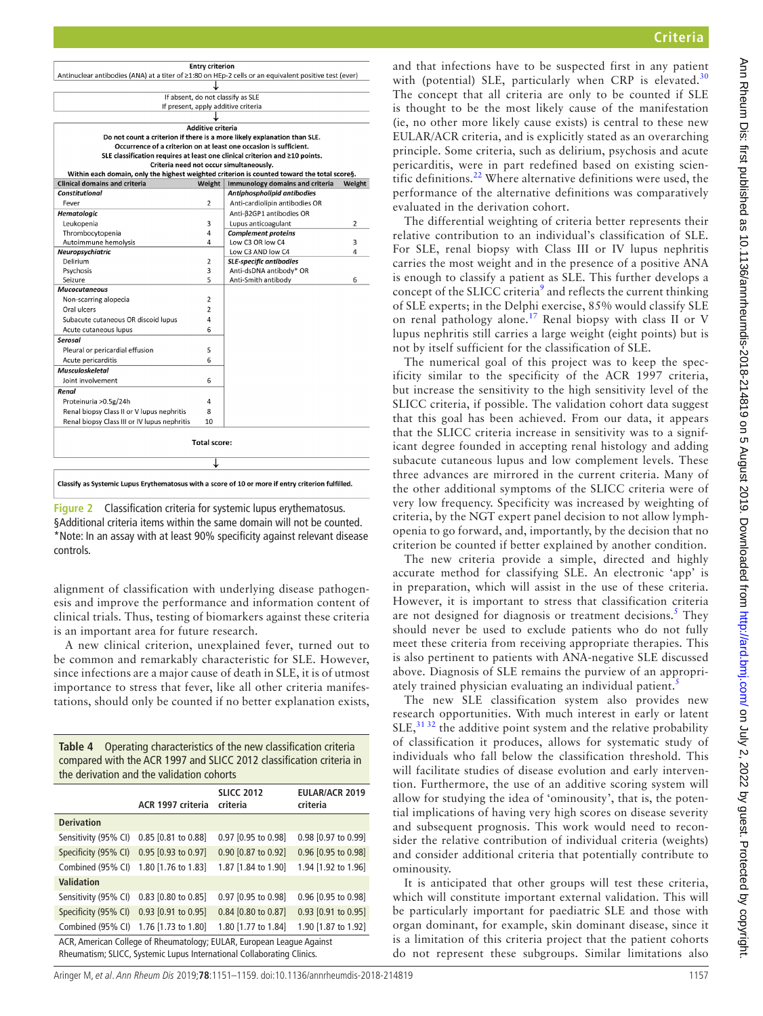|                                                                                                       | <b>Entry criterion</b>   |                                                                             |        |
|-------------------------------------------------------------------------------------------------------|--------------------------|-----------------------------------------------------------------------------|--------|
| Antinuclear antibodies (ANA) at a titer of ≥1:80 on HEp-2 cells or an equivalent positive test (ever) |                          |                                                                             |        |
|                                                                                                       |                          |                                                                             |        |
|                                                                                                       |                          | If absent, do not classify as SLE                                           |        |
|                                                                                                       |                          | If present, apply additive criteria                                         |        |
|                                                                                                       |                          |                                                                             |        |
|                                                                                                       | <b>Additive criteria</b> |                                                                             |        |
| Do not count a criterion if there is a more likely explanation than SLE.                              |                          |                                                                             |        |
| Occurrence of a criterion on at least one occasion is sufficient.                                     |                          |                                                                             |        |
|                                                                                                       |                          | SLE classification requires at least one clinical criterion and ≥10 points. |        |
|                                                                                                       |                          | Criteria need not occur simultaneously.                                     |        |
| Within each domain, only the highest weighted criterion is counted toward the total score§.           |                          |                                                                             |        |
| <b>Clinical domains and criteria</b><br><b>Constitutional</b>                                         | Weight $ $               | Immunology domains and criteria                                             | Weight |
|                                                                                                       |                          | Antiphospholipid antibodies                                                 |        |
| Fever                                                                                                 | $\overline{z}$           | Anti-cardiolipin antibodies OR                                              |        |
| <b>Hematologic</b>                                                                                    |                          | Anti-B2GP1 antibodies OR                                                    |        |
| Leukopenia                                                                                            | 3                        | Lupus anticoagulant                                                         | 2      |
| Thrombocytopenia                                                                                      | 4                        | <b>Complement proteins</b>                                                  |        |
| Autoimmune hemolysis                                                                                  | 4                        | Low C3 OR low C4                                                            | 3      |
| Neuropsychiatric                                                                                      |                          | Low C3 AND low C4                                                           | 4      |
| Delirium                                                                                              | 2                        | <b>SLE-specific antibodies</b>                                              |        |
| Psychosis<br>Seizure                                                                                  | 3<br>5                   | Anti-dsDNA antibody* OR<br>Anti-Smith antibody                              | 6      |
| <b>Mucocutaneous</b>                                                                                  |                          |                                                                             |        |
|                                                                                                       | 2                        |                                                                             |        |
| Non-scarring alopecia<br>Oral ulcers                                                                  | $\overline{2}$           |                                                                             |        |
|                                                                                                       |                          |                                                                             |        |
| 4<br>Subacute cutaneous OR discoid lupus                                                              |                          |                                                                             |        |
| Acute cutaneous lupus                                                                                 | 6                        |                                                                             |        |
| <b>Serosal</b>                                                                                        |                          |                                                                             |        |
| Pleural or pericardial effusion                                                                       | 5                        |                                                                             |        |
| Acute pericarditis                                                                                    | 6                        |                                                                             |        |
| <b>Musculoskeletal</b>                                                                                |                          |                                                                             |        |
| Joint involvement                                                                                     | 6                        |                                                                             |        |
| Renal                                                                                                 |                          |                                                                             |        |
| Proteinuria > 0.5g/24h                                                                                | 4                        |                                                                             |        |
| Renal biopsy Class II or V lupus nephritis                                                            | 8                        |                                                                             |        |
| Renal biopsy Class III or IV lupus nephritis                                                          | 10                       |                                                                             |        |
|                                                                                                       | <b>Total score:</b>      |                                                                             |        |
|                                                                                                       |                          |                                                                             |        |
|                                                                                                       |                          |                                                                             |        |

<span id="page-6-0"></span>Classify as Systemic Lupus Erythematosus with a score of 10 or more if entry criterion fulfilled.

**Figure 2** Classification criteria for systemic lupus erythematosus. §Additional criteria items within the same domain will not be counted. \*Note: In an assay with at least 90% specificity against relevant disease controls.

alignment of classification with underlying disease pathogenesis and improve the performance and information content of clinical trials. Thus, testing of biomarkers against these criteria is an important area for future research.

A new clinical criterion, unexplained fever, turned out to be common and remarkably characteristic for SLE. However, since infections are a major cause of death in SLE, it is of utmost importance to stress that fever, like all other criteria manifestations, should only be counted if no better explanation exists,

<span id="page-6-1"></span>

|                                           | Table 4 Operating characteristics of the new classification criteria |  |  |  |
|-------------------------------------------|----------------------------------------------------------------------|--|--|--|
|                                           | compared with the ACR 1997 and SLICC 2012 classification criteria in |  |  |  |
| the derivation and the validation cohorts |                                                                      |  |  |  |

|                                                                        | ACR 1997 criteria   | <b>SLICC 2012</b><br>criteria | EULAR/ACR 2019<br>criteria |  |
|------------------------------------------------------------------------|---------------------|-------------------------------|----------------------------|--|
| <b>Derivation</b>                                                      |                     |                               |                            |  |
| Sensitivity (95% CI)                                                   | 0.85 [0.81 to 0.88] | 0.97 [0.95 to 0.98]           | 0.98 [0.97 to 0.99]        |  |
| Specificity (95% CI)                                                   | 0.95 [0.93 to 0.97] | 0.90 [0.87 to 0.92]           | 0.96 [0.95 to 0.98]        |  |
| Combined (95% CI)                                                      | 1.80 [1.76 to 1.83] | 1.87 [1.84 to 1.90]           | 1.94 [1.92 to 1.96]        |  |
| <b>Validation</b>                                                      |                     |                               |                            |  |
| Sensitivity (95% CI)                                                   | 0.83 [0.80 to 0.85] | 0.97 [0.95 to 0.98]           | 0.96 [0.95 to 0.98]        |  |
| Specificity (95% CI)                                                   | 0.93 [0.91 to 0.95] | 0.84 [0.80 to 0.87]           | 0.93 [0.91 to 0.95]        |  |
| Combined (95% CI)                                                      | 1.76 [1.73 to 1.80] | 1.80 [1.77 to 1.84]           | 1.90 [1.87 to 1.92]        |  |
| ACR, American College of Rheumatology; EULAR, European League Against  |                     |                               |                            |  |
| Rheumatism; SLICC, Systemic Lupus International Collaborating Clinics. |                     |                               |                            |  |

and that infections have to be suspected first in any patient with (potential) SLE, particularly when CRP is elevated. $30$ The concept that all criteria are only to be counted if SLE is thought to be the most likely cause of the manifestation (ie, no other more likely cause exists) is central to these new EULAR/ACR criteria, and is explicitly stated as an overarching principle. Some criteria, such as delirium, psychosis and acute pericarditis, were in part redefined based on existing scientific definitions. $^{22}$  Where alternative definitions were used, the performance of the alternative definitions was comparatively evaluated in the derivation cohort.

The differential weighting of criteria better represents their relative contribution to an individual's classification of SLE. For SLE, renal biopsy with Class III or IV lupus nephritis carries the most weight and in the presence of a positive ANA is enough to classify a patient as SLE. This further develops a concept of the SLICC criteria<sup>[9](#page-8-6)</sup> and reflects the current thinking of SLE experts; in the Delphi exercise, 85% would classify SLE on renal pathology alone.[17](#page-8-12) Renal biopsy with class II or V lupus nephritis still carries a large weight (eight points) but is not by itself sufficient for the classification of SLE.

The numerical goal of this project was to keep the specificity similar to the specificity of the ACR 1997 criteria, but increase the sensitivity to the high sensitivity level of the SLICC criteria, if possible. The validation cohort data suggest that this goal has been achieved. From our data, it appears that the SLICC criteria increase in sensitivity was to a significant degree founded in accepting renal histology and adding subacute cutaneous lupus and low complement levels. These three advances are mirrored in the current criteria. Many of the other additional symptoms of the SLICC criteria were of very low frequency. Specificity was increased by weighting of criteria, by the NGT expert panel decision to not allow lymphopenia to go forward, and, importantly, by the decision that no criterion be counted if better explained by another condition.

The new criteria provide a simple, directed and highly accurate method for classifying SLE. An electronic 'app' is in preparation, which will assist in the use of these criteria. However, it is important to stress that classification criteria are not designed for diagnosis or treatment decisions.<sup>[5](#page-8-25)</sup> They should never be used to exclude patients who do not fully meet these criteria from receiving appropriate therapies. This is also pertinent to patients with ANA-negative SLE discussed above. Diagnosis of SLE remains the purview of an appropri-ately trained physician evaluating an individual patient.<sup>[5](#page-8-25)</sup>

The new SLE classification system also provides new research opportunities. With much interest in early or latent  $SLE<sub>3132</sub>$ , the additive point system and the relative probability of classification it produces, allows for systematic study of individuals who fall below the classification threshold. This will facilitate studies of disease evolution and early intervention. Furthermore, the use of an additive scoring system will allow for studying the idea of 'ominousity', that is, the potential implications of having very high scores on disease severity and subsequent prognosis. This work would need to reconsider the relative contribution of individual criteria (weights) and consider additional criteria that potentially contribute to ominousity.

It is anticipated that other groups will test these criteria, which will constitute important external validation. This will be particularly important for paediatric SLE and those with organ dominant, for example, skin dominant disease, since it is a limitation of this criteria project that the patient cohorts do not represent these subgroups. Similar limitations also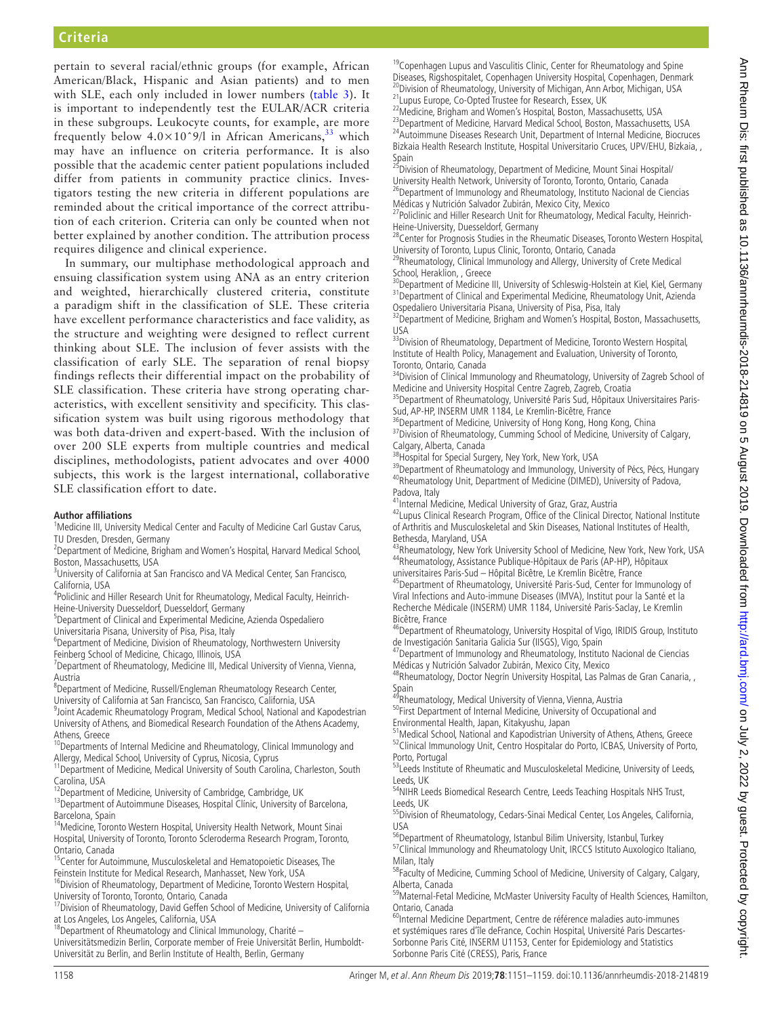pertain to several racial/ethnic groups (for example, African American/Black, Hispanic and Asian patients) and to men with SLE, each only included in lower numbers ([table](#page-5-1) 3). It is important to independently test the EULAR/ACR criteria in these subgroups. Leukocyte counts, for example, are more frequently below  $4.0 \times 10^9/1$  in African Americans,<sup>33</sup> which may have an influence on criteria performance. It is also possible that the academic center patient populations included differ from patients in community practice clinics. Investigators testing the new criteria in different populations are reminded about the critical importance of the correct attribution of each criterion. Criteria can only be counted when not better explained by another condition. The attribution process requires diligence and clinical experience.

In summary, our multiphase methodological approach and ensuing classification system using ANA as an entry criterion and weighted, hierarchically clustered criteria, constitute a paradigm shift in the classification of SLE. These criteria have excellent performance characteristics and face validity, as the structure and weighting were designed to reflect current thinking about SLE. The inclusion of fever assists with the classification of early SLE. The separation of renal biopsy findings reflects their differential impact on the probability of SLE classification. These criteria have strong operating characteristics, with excellent sensitivity and specificity. This classification system was built using rigorous methodology that was both data-driven and expert-based. With the inclusion of over 200 SLE experts from multiple countries and medical disciplines, methodologists, patient advocates and over 4000 subjects, this work is the largest international, collaborative SLE classification effort to date.

#### **Author affiliations**

<sup>1</sup>Medicine III, University Medical Center and Faculty of Medicine Carl Gustav Carus, TU Dresden, Dresden, Germany

<sup>2</sup>Department of Medicine, Brigham and Women's Hospital, Harvard Medical School, Boston, Massachusetts, USA

<sup>3</sup>University of California at San Francisco and VA Medical Center, San Francisco, California, USA

<sup>4</sup>Policlinic and Hiller Research Unit for Rheumatology, Medical Faculty, Heinrich-Heine-University Duesseldorf, Duesseldorf, Germany

5 Department of Clinical and Experimental Medicine, Azienda Ospedaliero

Universitaria Pisana, University of Pisa, Pisa, Italy

<sup>6</sup>Department of Medicine, Division of Rheumatology, Northwestern University Feinberg School of Medicine, Chicago, Illinois, USA

<sup>7</sup>Department of Rheumatology, Medicine III, Medical University of Vienna, Vienna, Austria

<sup>8</sup>Department of Medicine, Russell/Engleman Rheumatology Research Center, University of California at San Francisco, San Francisco, California, USA

<sup>9</sup>Joint Academic Rheumatology Program, Medical School, National and Kapodestrian University of Athens, and Biomedical Research Foundation of the Athens Academy, Athens, Greece

<sup>10</sup>Departments of Internal Medicine and Rheumatology, Clinical Immunology and Allergy, Medical School, University of Cyprus, Nicosia, Cyprus

<sup>11</sup>Department of Medicine, Medical University of South Carolina, Charleston, South Carolina, USA

<sup>12</sup>Department of Medicine, University of Cambridge, Cambridge, UK

<sup>13</sup>Department of Autoimmune Diseases, Hospital Clínic, University of Barcelona, Barcelona, Spain

<sup>14</sup>Medicine, Toronto Western Hospital, University Health Network, Mount Sinai Hospital, University of Toronto, Toronto Scleroderma Research Program, Toronto, Ontario, Canada

<sup>15</sup>Center for Autoimmune, Musculoskeletal and Hematopoietic Diseases, The Feinstein Institute for Medical Research, Manhasset, New York, USA

<sup>16</sup>Division of Rheumatology, Department of Medicine, Toronto Western Hospital, University of Toronto, Toronto, Ontario, Canada

<sup>17</sup> Division of Rheumatology, David Geffen School of Medicine, University of California at Los Angeles, Los Angeles, California, USA

 $18$ Department of Rheumatology and Clinical Immunology, Charité –

Universitätsmedizin Berlin, Corporate member of Freie Universität Berlin, Humboldt-Universität zu Berlin, and Berlin Institute of Health, Berlin, Germany

<sup>19</sup>Copenhagen Lupus and Vasculitis Clinic, Center for Rheumatology and Spine Diseases, Rigshospitalet, Copenhagen University Hospital, Copenhagen, Denmark <sup>20</sup>Division of Rheumatology, University of Michigan, Ann Arbor, Michigan, USA 21Lupus Europe, Co-Opted Trustee for Research, Essex, UK

<sup>22</sup>Medicine, Brigham and Women's Hospital, Boston, Massachusetts, USA <sup>23</sup> Department of Medicine, Harvard Medical School, Boston, Massachusetts, USA 24 Autoimmune Diseases Research Unit, Department of Internal Medicine, Biocruces Bizkaia Health Research Institute, Hospital Universitario Cruces, UPV/EHU, Bizkaia, ,

Spain 25Division of Rheumatology, Department of Medicine, Mount Sinai Hospital/ University Health Network, University of Toronto, Toronto, Ontario, Canada <sup>26</sup>Department of Immunology and Rheumatology, Instituto Nacional de Ciencias Médicas y Nutrición Salvador Zubirán, Mexico City, Mexico

<sup>27</sup>Policlinic and Hiller Research Unit for Rheumatology, Medical Faculty, Heinrich-Heine-University, Duesseldorf, Germany

<sup>28</sup> Center for Prognosis Studies in the Rheumatic Diseases, Toronto Western Hospital, University of Toronto, Lupus Clinic, Toronto, Ontario, Canada

<sup>29</sup>Rheumatology, Clinical Immunology and Allergy, University of Crete Medical School, Heraklion, , Greece

<sup>30</sup>Department of Medicine III, University of Schleswig-Holstein at Kiel, Kiel, Germany <sup>31</sup> Department of Clinical and Experimental Medicine, Rheumatology Unit, Azienda Ospedaliero Universitaria Pisana, University of Pisa, Pisa, Italy

<sup>32</sup> Department of Medicine, Brigham and Women's Hospital, Boston, Massachusetts, USA

<sup>33</sup>Division of Rheumatology, Department of Medicine, Toronto Western Hospital, Institute of Health Policy, Management and Evaluation, University of Toronto, Toronto, Ontario, Canada

<sup>34</sup>Division of Clinical Immunology and Rheumatology, University of Zagreb School of Medicine and University Hospital Centre Zagreb, Zagreb, Croatia

<sup>35</sup>Department of Rheumatology, Université Paris Sud, Hôpitaux Universitaires Paris-Sud, AP-HP, INSERM UMR 1184, Le Kremlin-Bicêtre, France

<sup>36</sup>Department of Medicine, University of Hong Kong, Hong Kong, China <sup>37</sup>Division of Rheumatology, Cumming School of Medicine, University of Calgary, Calgary, Alberta, Canada

<sup>38</sup>Hospital for Special Surgery, Ney York, New York, USA

<sup>39</sup>Department of Rheumatology and Immunology, University of Pécs, Pécs, Hungary <sup>40</sup>Rheumatology Unit, Department of Medicine (DIMED), University of Padova, Padova, Italy

<sup>41</sup>Internal Medicine, Medical University of Graz, Graz, Austria

42Lupus Clinical Research Program, Office of the Clinical Director, National Institute of Arthritis and Musculoskeletal and Skin Diseases, National Institutes of Health, Bethesda, Maryland, USA

<sup>43</sup>Rheumatology, New York University School of Medicine, New York, New York, USA 44Rheumatology, Assistance Publique-Hôpitaux de Paris (AP-HP), Hôpitaux

universitaires Paris-Sud – Hôpital Bicêtre, Le Kremlin Bicêtre, France

45Department of Rheumatology, Université Paris-Sud, Center for Immunology of Viral Infections and Auto-immune Diseases (IMVA), Institut pour la Santé et la Recherche Médicale (INSERM) UMR 1184, Université Paris-Saclay, Le Kremlin Bicêtre, France

<sup>46</sup>Department of Rheumatology, University Hospital of Vigo, IRIDIS Group, Instituto de Investigación Sanitaria Galicia Sur (IISGS), Vigo, Spain

47 Department of Immunology and Rheumatology, Instituto Nacional de Ciencias Médicas y Nutrición Salvador Zubirán, Mexico City, Mexico

48Rheumatology, Doctor Negrín University Hospital, Las Palmas de Gran Canaria, ,

Spain<br><sup>49</sup>Rheumatology, Medical University of Vienna, Vienna, Austria

50First Department of Internal Medicine, University of Occupational and Environmental Health, Japan, Kitakyushu, Japan

<sup>51</sup> Medical School, National and Kapodistrian University of Athens, Athens, Greece <sup>52</sup>Clinical Immunology Unit, Centro Hospitalar do Porto, ICBAS, University of Porto, Porto, Portugal

<sup>53</sup> Leeds Institute of Rheumatic and Musculoskeletal Medicine, University of Leeds, Leeds, UK

<sup>54</sup>NIHR Leeds Biomedical Research Centre, Leeds Teaching Hospitals NHS Trust, Leeds, UK

<sup>55</sup>Division of Rheumatology, Cedars-Sinai Medical Center, Los Angeles, California, USA

56Department of Rheumatology, Istanbul Bilim University, Istanbul, Turkey

57 Clinical Immunology and Rheumatology Unit, IRCCS Istituto Auxologico Italiano, Milan, Italy

58Faculty of Medicine, Cumming School of Medicine, University of Calgary, Calgary, Alberta, Canada

<sup>59</sup>Maternal-Fetal Medicine, McMaster University Faculty of Health Sciences, Hamilton, Ontario, Canada

 $60$ Internal Medicine Department, Centre de référence maladies auto-immunes et systémiques rares d'île deFrance, Cochin Hospital, Université Paris Descartes-Sorbonne Paris Cité, INSERM U1153, Center for Epidemiology and Statistics Sorbonne Paris Cité (CRESS), Paris, France